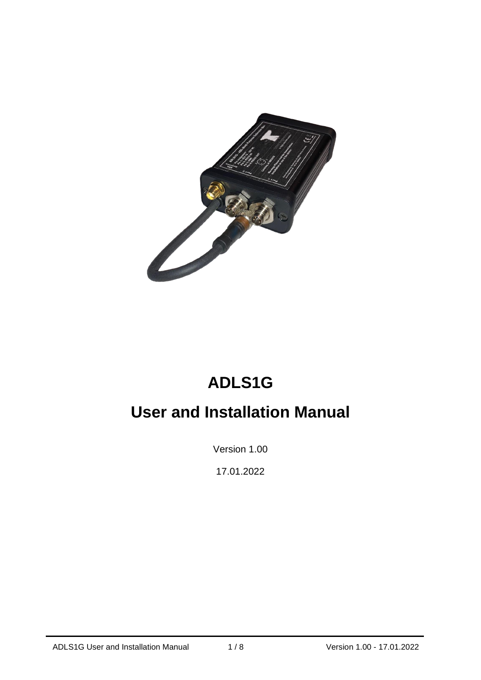

# **ADLS1G**

# **User and Installation Manual**

Version 1.00

17.01.2022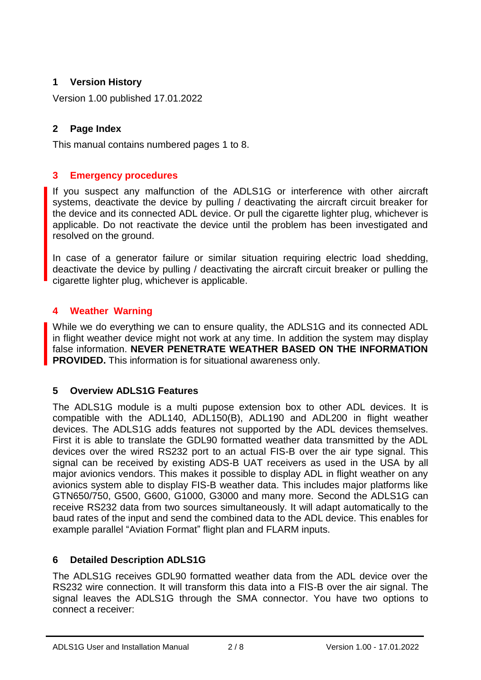# **1 Version History**

Version 1.00 published 17.01.2022

# **2 Page Index**

This manual contains numbered pages 1 to 8.

#### **3 Emergency procedures**

If you suspect any malfunction of the ADLS1G or interference with other aircraft systems, deactivate the device by pulling / deactivating the aircraft circuit breaker for the device and its connected ADL device. Or pull the cigarette lighter plug, whichever is applicable. Do not reactivate the device until the problem has been investigated and resolved on the ground.

In case of a generator failure or similar situation requiring electric load shedding, deactivate the device by pulling / deactivating the aircraft circuit breaker or pulling the cigarette lighter plug, whichever is applicable.

# **4 Weather Warning**

While we do everything we can to ensure quality, the ADLS1G and its connected ADL in flight weather device might not work at any time. In addition the system may display false information. **NEVER PENETRATE WEATHER BASED ON THE INFORMATION PROVIDED.** This information is for situational awareness only.

#### **5 Overview ADLS1G Features**

The ADLS1G module is a multi pupose extension box to other ADL devices. It is compatible with the ADL140, ADL150(B), ADL190 and ADL200 in flight weather devices. The ADLS1G adds features not supported by the ADL devices themselves. First it is able to translate the GDL90 formatted weather data transmitted by the ADL devices over the wired RS232 port to an actual FIS-B over the air type signal. This signal can be received by existing ADS-B UAT receivers as used in the USA by all major avionics vendors. This makes it possible to display ADL in flight weather on any avionics system able to display FIS-B weather data. This includes major platforms like GTN650/750, G500, G600, G1000, G3000 and many more. Second the ADLS1G can receive RS232 data from two sources simultaneously. It will adapt automatically to the baud rates of the input and send the combined data to the ADL device. This enables for example parallel "Aviation Format" flight plan and FLARM inputs.

# **6 Detailed Description ADLS1G**

The ADLS1G receives GDL90 formatted weather data from the ADL device over the RS232 wire connection. It will transform this data into a FIS-B over the air signal. The signal leaves the ADLS1G through the SMA connector. You have two options to connect a receiver: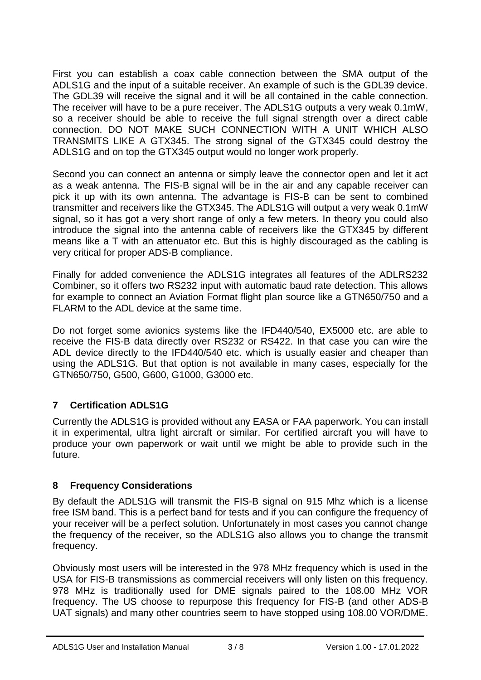First you can establish a coax cable connection between the SMA output of the ADLS1G and the input of a suitable receiver. An example of such is the GDL39 device. The GDL39 will receive the signal and it will be all contained in the cable connection. The receiver will have to be a pure receiver. The ADLS1G outputs a very weak 0.1mW, so a receiver should be able to receive the full signal strength over a direct cable connection. DO NOT MAKE SUCH CONNECTION WITH A UNIT WHICH ALSO TRANSMITS LIKE A GTX345. The strong signal of the GTX345 could destroy the ADLS1G and on top the GTX345 output would no longer work properly.

Second you can connect an antenna or simply leave the connector open and let it act as a weak antenna. The FIS-B signal will be in the air and any capable receiver can pick it up with its own antenna. The advantage is FIS-B can be sent to combined transmitter and receivers like the GTX345. The ADLS1G will output a very weak 0.1mW signal, so it has got a very short range of only a few meters. In theory you could also introduce the signal into the antenna cable of receivers like the GTX345 by different means like a T with an attenuator etc. But this is highly discouraged as the cabling is very critical for proper ADS-B compliance.

Finally for added convenience the ADLS1G integrates all features of the ADLRS232 Combiner, so it offers two RS232 input with automatic baud rate detection. This allows for example to connect an Aviation Format flight plan source like a GTN650/750 and a FLARM to the ADL device at the same time.

Do not forget some avionics systems like the IFD440/540, EX5000 etc. are able to receive the FIS-B data directly over RS232 or RS422. In that case you can wire the ADL device directly to the IFD440/540 etc. which is usually easier and cheaper than using the ADLS1G. But that option is not available in many cases, especially for the GTN650/750, G500, G600, G1000, G3000 etc.

#### **7 Certification ADLS1G**

Currently the ADLS1G is provided without any EASA or FAA paperwork. You can install it in experimental, ultra light aircraft or similar. For certified aircraft you will have to produce your own paperwork or wait until we might be able to provide such in the future.

#### **8 Frequency Considerations**

By default the ADLS1G will transmit the FIS-B signal on 915 Mhz which is a license free ISM band. This is a perfect band for tests and if you can configure the frequency of your receiver will be a perfect solution. Unfortunately in most cases you cannot change the frequency of the receiver, so the ADLS1G also allows you to change the transmit frequency.

Obviously most users will be interested in the 978 MHz frequency which is used in the USA for FIS-B transmissions as commercial receivers will only listen on this frequency. 978 MHz is traditionally used for DME signals paired to the 108.00 MHz VOR frequency. The US choose to repurpose this frequency for FIS-B (and other ADS-B UAT signals) and many other countries seem to have stopped using 108.00 VOR/DME.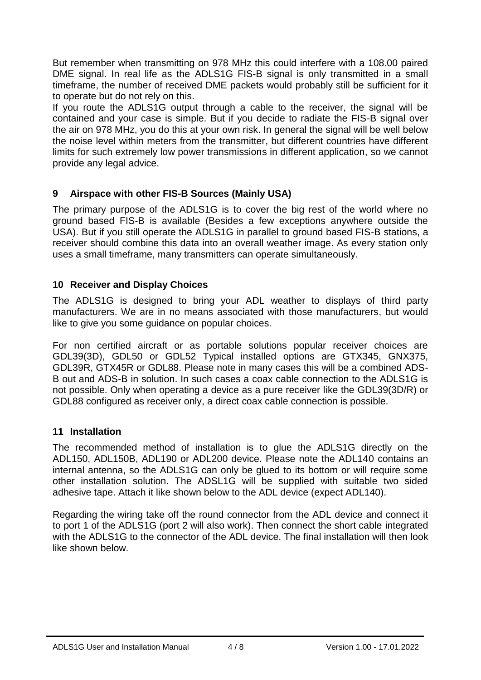But remember when transmitting on 978 MHz this could interfere with a 108.00 paired DME signal. In real life as the ADLS1G FIS-B signal is only transmitted in a small timeframe, the number of received DME packets would probably still be sufficient for it to operate but do not rely on this.

If you route the ADLS1G output through a cable to the receiver, the signal will be contained and your case is simple. But if you decide to radiate the FIS-B signal over the air on 978 MHz, you do this at your own risk. In general the signal will be well below the noise level within meters from the transmitter, but different countries have different limits for such extremely low power transmissions in different application, so we cannot provide any legal advice.

#### **9 Airspace with other FIS-B Sources (Mainly USA)**

The primary purpose of the ADLS1G is to cover the big rest of the world where no ground based FIS-B is available (Besides a few exceptions anywhere outside the USA). But if you still operate the ADLS1G in parallel to ground based FIS-B stations, a receiver should combine this data into an overall weather image. As every station only uses a small timeframe, many transmitters can operate simultaneously.

#### **10 Receiver and Display Choices**

The ADLS1G is designed to bring your ADL weather to displays of third party manufacturers. We are in no means associated with those manufacturers, but would like to give you some guidance on popular choices.

For non certified aircraft or as portable solutions popular receiver choices are GDL39(3D), GDL50 or GDL52 Typical installed options are GTX345, GNX375, GDL39R, GTX45R or GDL88. Please note in many cases this will be a combined ADS-B out and ADS-B in solution. In such cases a coax cable connection to the ADLS1G is not possible. Only when operating a device as a pure receiver like the GDL39(3D/R) or GDL88 configured as receiver only, a direct coax cable connection is possible.

#### **11 Installation**

The recommended method of installation is to glue the ADLS1G directly on the ADL150, ADL150B, ADL190 or ADL200 device. Please note the ADL140 contains an internal antenna, so the ADLS1G can only be glued to its bottom or will require some other installation solution. The ADSL1G will be supplied with suitable two sided adhesive tape. Attach it like shown below to the ADL device (expect ADL140).

Regarding the wiring take off the round connector from the ADL device and connect it to port 1 of the ADLS1G (port 2 will also work). Then connect the short cable integrated with the ADLS1G to the connector of the ADL device. The final installation will then look like shown below.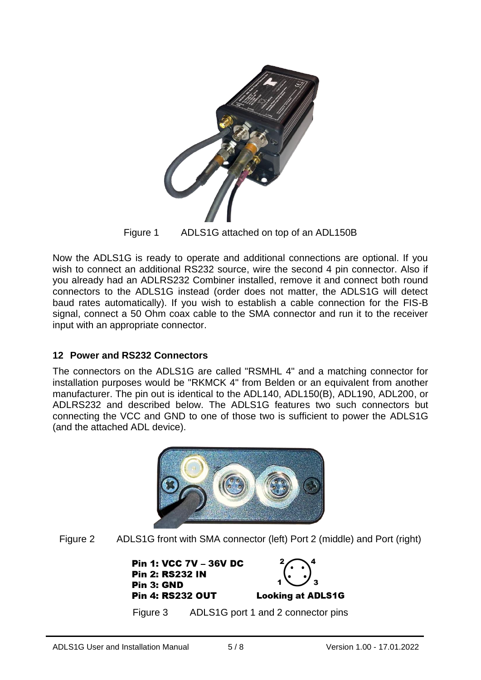

Now the ADLS1G is ready to operate and additional connections are optional. If you wish to connect an additional RS232 source, wire the second 4 pin connector. Also if you already had an ADLRS232 Combiner installed, remove it and connect both round connectors to the ADLS1G instead (order does not matter, the ADLS1G will detect baud rates automatically). If you wish to establish a cable connection for the FIS-B signal, connect a 50 Ohm coax cable to the SMA connector and run it to the receiver input with an appropriate connector.

#### **12 Power and RS232 Connectors**

The connectors on the ADLS1G are called "RSMHL 4" and a matching connector for installation purposes would be "RKMCK 4" from Belden or an equivalent from another manufacturer. The pin out is identical to the ADL140, ADL150(B), ADL190, ADL200, or ADLRS232 and described below. The ADLS1G features two such connectors but connecting the VCC and GND to one of those two is sufficient to power the ADLS1G (and the attached ADL device).



Figure 2 ADLS1G front with SMA connector (left) Port 2 (middle) and Port (right)



Figure 3 ADLS1G port 1 and 2 connector pins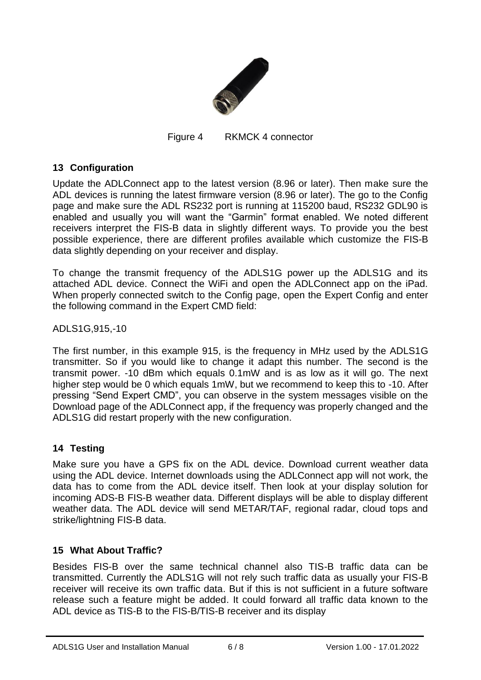

Figure 4 RKMCK 4 connector

#### **13 Configuration**

Update the ADLConnect app to the latest version (8.96 or later). Then make sure the ADL devices is running the latest firmware version (8.96 or later). The go to the Config page and make sure the ADL RS232 port is running at 115200 baud, RS232 GDL90 is enabled and usually you will want the "Garmin" format enabled. We noted different receivers interpret the FIS-B data in slightly different ways. To provide you the best possible experience, there are different profiles available which customize the FIS-B data slightly depending on your receiver and display.

To change the transmit frequency of the ADLS1G power up the ADLS1G and its attached ADL device. Connect the WiFi and open the ADLConnect app on the iPad. When properly connected switch to the Config page, open the Expert Config and enter the following command in the Expert CMD field:

ADLS1G,915,-10

The first number, in this example 915, is the frequency in MHz used by the ADLS1G transmitter. So if you would like to change it adapt this number. The second is the transmit power. -10 dBm which equals 0.1mW and is as low as it will go. The next higher step would be 0 which equals 1mW, but we recommend to keep this to -10. After pressing "Send Expert CMD", you can observe in the system messages visible on the Download page of the ADLConnect app, if the frequency was properly changed and the ADLS1G did restart properly with the new configuration.

#### **14 Testing**

Make sure you have a GPS fix on the ADL device. Download current weather data using the ADL device. Internet downloads using the ADLConnect app will not work, the data has to come from the ADL device itself. Then look at your display solution for incoming ADS-B FIS-B weather data. Different displays will be able to display different weather data. The ADL device will send METAR/TAF, regional radar, cloud tops and strike/lightning FIS-B data.

#### **15 What About Traffic?**

Besides FIS-B over the same technical channel also TIS-B traffic data can be transmitted. Currently the ADLS1G will not rely such traffic data as usually your FIS-B receiver will receive its own traffic data. But if this is not sufficient in a future software release such a feature might be added. It could forward all traffic data known to the ADL device as TIS-B to the FIS-B/TIS-B receiver and its display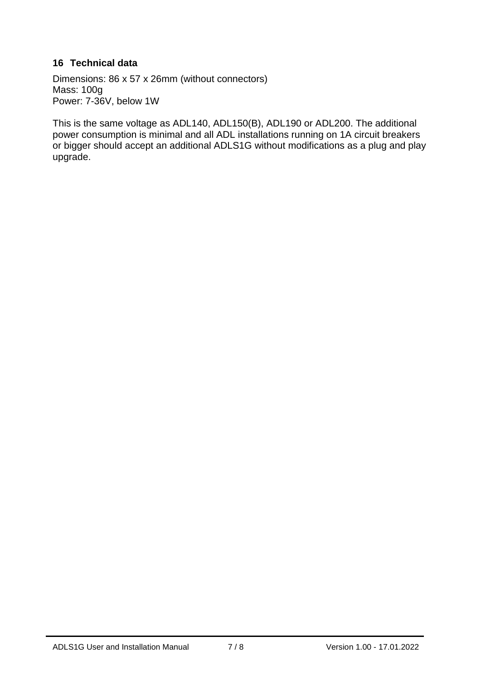#### **16 Technical data**

Dimensions: 86 x 57 x 26mm (without connectors) Mass: 100g Power: 7-36V, below 1W

This is the same voltage as ADL140, ADL150(B), ADL190 or ADL200. The additional power consumption is minimal and all ADL installations running on 1A circuit breakers or bigger should accept an additional ADLS1G without modifications as a plug and play upgrade.